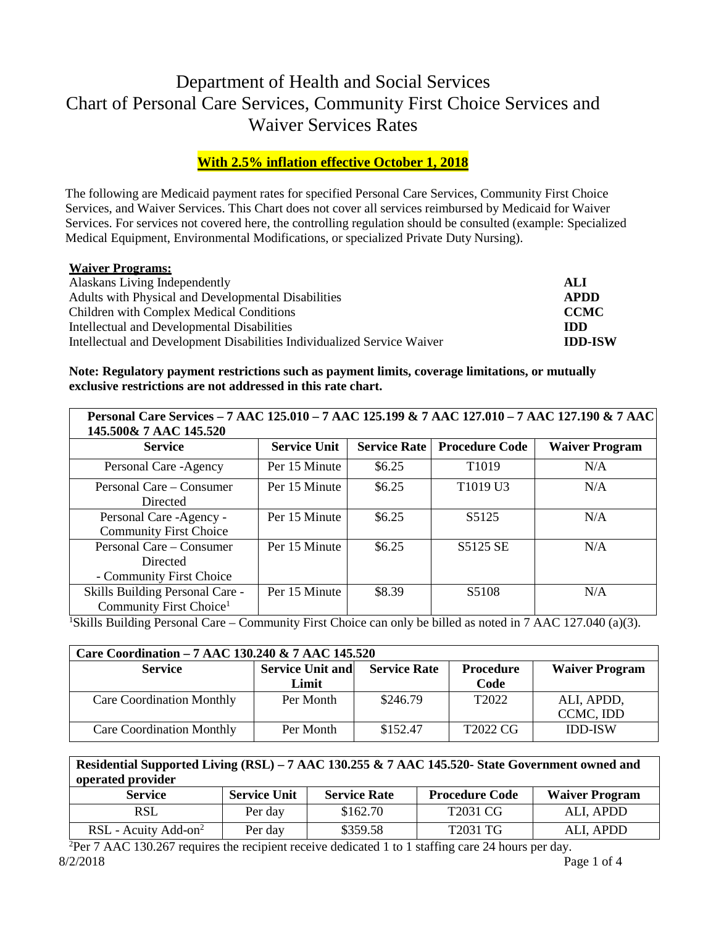# Department of Health and Social Services Chart of Personal Care Services, Community First Choice Services and Waiver Services Rates

## **With 2.5% inflation effective October 1, 2018**

The following are Medicaid payment rates for specified Personal Care Services, Community First Choice Services, and Waiver Services. This Chart does not cover all services reimbursed by Medicaid for Waiver Services. For services not covered here, the controlling regulation should be consulted (example: Specialized Medical Equipment, Environmental Modifications, or specialized Private Duty Nursing).

#### **Waiver Programs:**

| Alaskans Living Independently                                           | ALI            |
|-------------------------------------------------------------------------|----------------|
| Adults with Physical and Developmental Disabilities                     | APDD           |
| Children with Complex Medical Conditions                                | <b>CCMC</b>    |
| Intellectual and Developmental Disabilities                             | <b>IDD</b>     |
| Intellectual and Development Disabilities Individualized Service Waiver | <b>IDD-ISW</b> |

#### **Note: Regulatory payment restrictions such as payment limits, coverage limitations, or mutually exclusive restrictions are not addressed in this rate chart.**

| Personal Care Services - 7 AAC 125.010 - 7 AAC 125.199 & 7 AAC 127.010 - 7 AAC 127.190 & 7 AAC<br>145.500& 7 AAC 145.520 |                     |                     |                       |                       |
|--------------------------------------------------------------------------------------------------------------------------|---------------------|---------------------|-----------------------|-----------------------|
| <b>Service</b>                                                                                                           | <b>Service Unit</b> | <b>Service Rate</b> | <b>Procedure Code</b> | <b>Waiver Program</b> |
| Personal Care - Agency                                                                                                   | Per 15 Minute       | \$6.25              | T <sub>1019</sub>     | N/A                   |
| Personal Care – Consumer<br>Directed                                                                                     | Per 15 Minute       | \$6.25              | T1019 U3              | N/A                   |
| Personal Care -Agency -<br><b>Community First Choice</b>                                                                 | Per 15 Minute       | \$6.25              | S5125                 | N/A                   |
| Personal Care – Consumer<br>Directed<br>- Community First Choice                                                         | Per 15 Minute       | \$6.25              | S5125 SE              | N/A                   |
| Skills Building Personal Care -<br>Community First Choice <sup>1</sup>                                                   | Per 15 Minute       | \$8.39              | S5108                 | N/A                   |

<sup>1</sup>Skills Building Personal Care – Community First Choice can only be billed as noted in 7 AAC 127.040 (a)(3).

| Care Coordination – 7 AAC 130.240 & 7 AAC 145.520                                                      |           |          |                   |                |  |  |
|--------------------------------------------------------------------------------------------------------|-----------|----------|-------------------|----------------|--|--|
| <b>Service Unit and</b><br><b>Service Rate</b><br>Procedure<br><b>Waiver Program</b><br><b>Service</b> |           |          |                   |                |  |  |
|                                                                                                        | Limit     |          | Code              |                |  |  |
| <b>Care Coordination Monthly</b>                                                                       | Per Month | \$246.79 | T <sub>2022</sub> | ALI, APDD,     |  |  |
|                                                                                                        |           |          |                   | CCMC, IDD      |  |  |
| <b>Care Coordination Monthly</b>                                                                       | Per Month | \$152.47 | T2022 CG          | <b>IDD-ISW</b> |  |  |

| Residential Supported Living (RSL) – 7 AAC 130.255 & 7 AAC 145.520- State Government owned and<br>operated provider |                     |                     |                       |                       |  |
|---------------------------------------------------------------------------------------------------------------------|---------------------|---------------------|-----------------------|-----------------------|--|
| <b>Service</b>                                                                                                      | <b>Service Unit</b> | <b>Service Rate</b> | <b>Procedure Code</b> | <b>Waiver Program</b> |  |
| <b>RSL</b>                                                                                                          | Per day             | \$162.70            | T2031 CG              | ALI, APDD             |  |
| RSL - Acuity Add-on <sup>2</sup>                                                                                    | Per day             | \$359.58            | T2031 TG              | ALI, APDD             |  |

<sup>2</sup>Per 7 AAC 130.267 requires the recipient receive dedicated 1 to 1 staffing care 24 hours per day. 8/2/2018 Page 1 of 4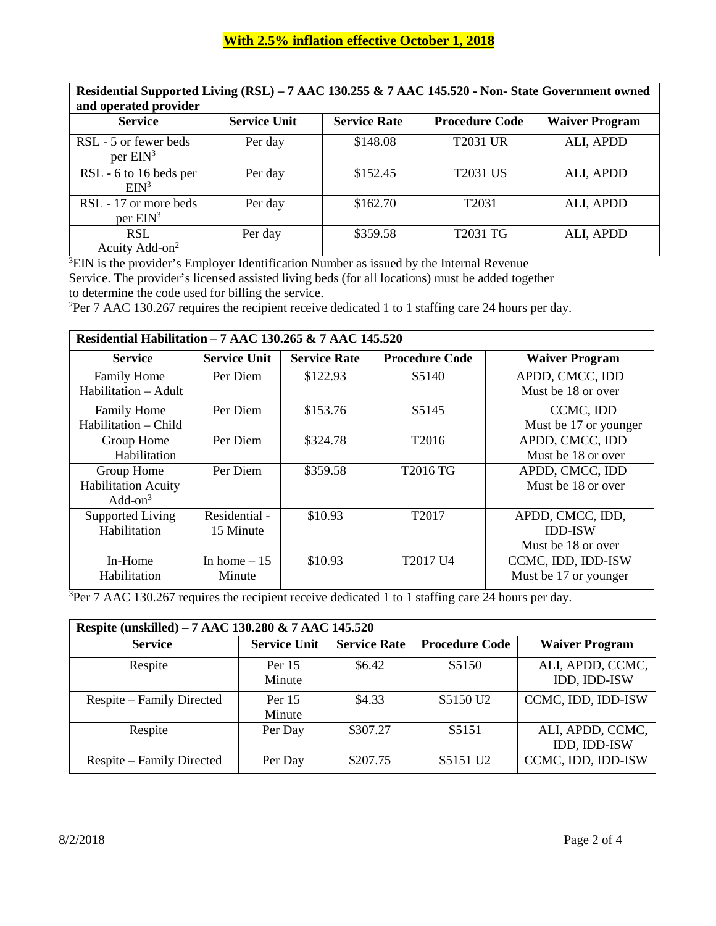| Residential Supported Living (RSL) - 7 AAC 130.255 & 7 AAC 145.520 - Non-State Government owned<br>and operated provider |                     |                     |                       |                       |  |
|--------------------------------------------------------------------------------------------------------------------------|---------------------|---------------------|-----------------------|-----------------------|--|
| <b>Service</b>                                                                                                           | <b>Service Unit</b> | <b>Service Rate</b> | <b>Procedure Code</b> | <b>Waiver Program</b> |  |
| RSL - 5 or fewer beds<br>per $EIN^3$                                                                                     | Per day             | \$148.08            | <b>T2031 UR</b>       | ALI, APDD             |  |
| RSL - 6 to 16 beds per<br>EIN <sup>3</sup>                                                                               | Per day             | \$152.45            | <b>T2031 US</b>       | ALI, APDD             |  |
| RSL - 17 or more beds<br>per $EM^3$                                                                                      | Per day             | \$162.70            | T <sub>2031</sub>     | ALI, APDD             |  |
| <b>RSL</b><br>Acuity Add-on <sup>2</sup>                                                                                 | Per day             | \$359.58            | <b>T2031 TG</b>       | ALI, APDD             |  |

 ${}^{3}$ EIN is the provider's Employer Identification Number as issued by the Internal Revenue Service. The provider's licensed assisted living beds (for all locations) must be added together to determine the code used for billing the service.

<sup>2</sup>Per 7 AAC 130.267 requires the recipient receive dedicated 1 to 1 staffing care 24 hours per day.

| Residential Habilitation - 7 AAC 130.265 & 7 AAC 145.520 |                     |                     |                       |                       |  |  |  |
|----------------------------------------------------------|---------------------|---------------------|-----------------------|-----------------------|--|--|--|
| <b>Service</b>                                           | <b>Service Unit</b> | <b>Service Rate</b> | <b>Procedure Code</b> | <b>Waiver Program</b> |  |  |  |
| Family Home                                              | Per Diem            | \$122.93            | S5140                 | APDD, CMCC, IDD       |  |  |  |
| Habilitation – Adult                                     |                     |                     |                       | Must be 18 or over    |  |  |  |
| <b>Family Home</b>                                       | Per Diem            | \$153.76            | S5145                 | CCMC, IDD             |  |  |  |
| Habilitation – Child                                     |                     |                     |                       | Must be 17 or younger |  |  |  |
| Group Home                                               | Per Diem            | \$324.78            | T2016                 | APDD, CMCC, IDD       |  |  |  |
| Habilitation                                             |                     |                     |                       | Must be 18 or over    |  |  |  |
| Group Home                                               | Per Diem            | \$359.58            | T2016 TG              | APDD, CMCC, IDD       |  |  |  |
| <b>Habilitation Acuity</b>                               |                     |                     |                       | Must be 18 or over    |  |  |  |
| Add-on $3$                                               |                     |                     |                       |                       |  |  |  |
| Supported Living                                         | Residential -       | \$10.93             | T <sub>2017</sub>     | APDD, CMCC, IDD,      |  |  |  |
| Habilitation                                             | 15 Minute           |                     |                       | <b>IDD-ISW</b>        |  |  |  |
|                                                          |                     |                     |                       | Must be 18 or over    |  |  |  |
| In-Home                                                  | In home $-15$       | \$10.93             | T2017 U4              | CCMC, IDD, IDD-ISW    |  |  |  |
| Habilitation                                             | Minute              |                     |                       | Must be 17 or younger |  |  |  |
|                                                          |                     |                     |                       |                       |  |  |  |

 $3$ Per 7 AAC 130.267 requires the recipient receive dedicated 1 to 1 staffing care 24 hours per day.

| Respite (unskilled) – 7 AAC 130.280 & 7 AAC 145.520 |                     |                     |                       |                                  |  |  |
|-----------------------------------------------------|---------------------|---------------------|-----------------------|----------------------------------|--|--|
| <b>Service</b>                                      | <b>Service Unit</b> | <b>Service Rate</b> | <b>Procedure Code</b> | <b>Waiver Program</b>            |  |  |
| Respite                                             | Per $15$<br>Minute  | \$6.42              | S <sub>5</sub> 150    | ALI, APDD, CCMC,<br>IDD, IDD-ISW |  |  |
| Respite – Family Directed                           | Per $15$<br>Minute  | \$4.33              | S5150 U <sub>2</sub>  | CCMC, IDD, IDD-ISW               |  |  |
| Respite                                             | Per Day             | \$307.27            | S5151                 | ALI, APDD, CCMC,<br>IDD, IDD-ISW |  |  |
| Respite – Family Directed                           | Per Day             | \$207.75            | S5151 U <sub>2</sub>  | CCMC, IDD, IDD-ISW               |  |  |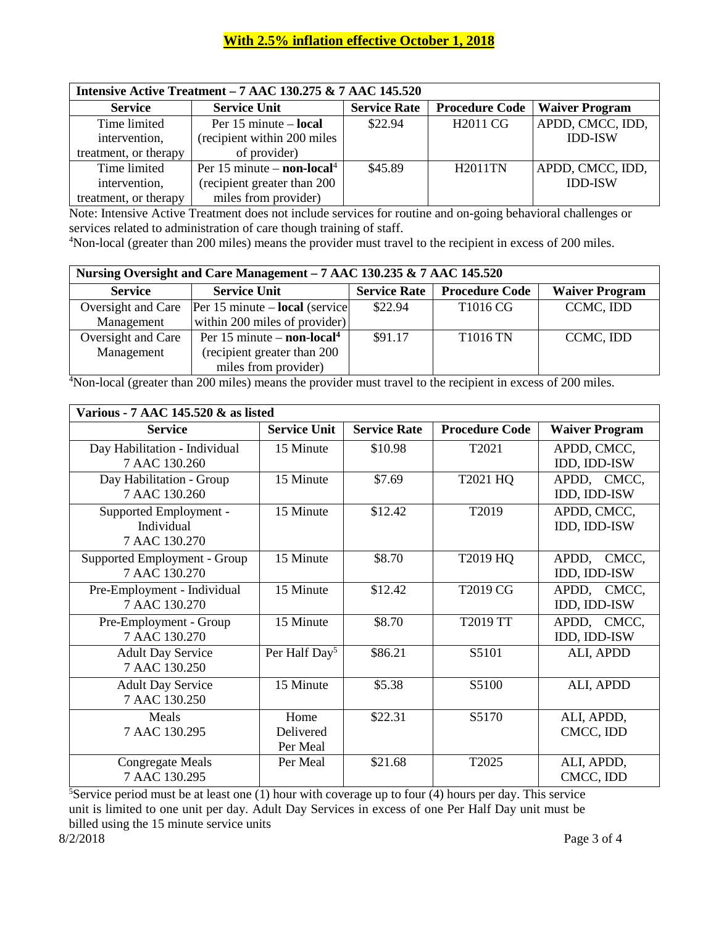### **With 2.5% inflation effective October 1, 2018**

| <b>Intensive Active Treatment - 7 AAC 130.275 &amp; 7 AAC 145.520</b> |                                        |                     |                       |                       |
|-----------------------------------------------------------------------|----------------------------------------|---------------------|-----------------------|-----------------------|
| <b>Service</b>                                                        | <b>Service Unit</b>                    | <b>Service Rate</b> | <b>Procedure Code</b> | <b>Waiver Program</b> |
| Time limited                                                          | Per $15$ minute – <b>local</b>         | \$22.94             | H <sub>2011</sub> CG  | APDD, CMCC, IDD,      |
| intervention,                                                         | (recipient within 200 miles            |                     |                       | <b>IDD-ISW</b>        |
| treatment, or therapy                                                 | of provider)                           |                     |                       |                       |
| Time limited                                                          | Per 15 minute – non-local <sup>4</sup> | \$45.89             | <b>H2011TN</b>        | APDD, CMCC, IDD,      |
| intervention,                                                         | (recipient greater than 200            |                     |                       | <b>IDD-ISW</b>        |
| treatment, or therapy                                                 | miles from provider)                   |                     |                       |                       |

Note: Intensive Active Treatment does not include services for routine and on-going behavioral challenges or services related to administration of care though training of staff.

<sup>4</sup>Non-local (greater than 200 miles) means the provider must travel to the recipient in excess of 200 miles.

| Nursing Oversight and Care Management – 7 AAC 130.235 & 7 AAC 145.520 |                                                          |                     |                       |                       |  |
|-----------------------------------------------------------------------|----------------------------------------------------------|---------------------|-----------------------|-----------------------|--|
| <b>Service</b>                                                        | <b>Service Unit</b>                                      | <b>Service Rate</b> | <b>Procedure Code</b> | <b>Waiver Program</b> |  |
| Oversight and Care                                                    | $\text{Per } 15 \text{ minute} - \text{local}$ (service) | \$22.94             | T1016 CG              | CCMC, IDD             |  |
| Management                                                            | within 200 miles of provider)                            |                     |                       |                       |  |
| Oversight and Care                                                    | Per 15 minute $-$ non-local <sup>4</sup>                 | \$91.17             | <b>T1016 TN</b>       | CCMC, IDD             |  |
| Management                                                            | (recipient greater than 200                              |                     |                       |                       |  |
|                                                                       | miles from provider)                                     |                     |                       |                       |  |

<sup>4</sup>Non-local (greater than 200 miles) means the provider must travel to the recipient in excess of 200 miles.

| Various - 7 AAC 145.520 & as listed |                           |                     |                       |                       |  |
|-------------------------------------|---------------------------|---------------------|-----------------------|-----------------------|--|
| <b>Service</b>                      | <b>Service Unit</b>       | <b>Service Rate</b> | <b>Procedure Code</b> | <b>Waiver Program</b> |  |
| Day Habilitation - Individual       | 15 Minute                 | \$10.98             | T2021                 | APDD, CMCC,           |  |
| 7 AAC 130.260                       |                           |                     |                       | IDD, IDD-ISW          |  |
| Day Habilitation - Group            | 15 Minute                 | \$7.69              | T2021 HQ              | APDD, CMCC,           |  |
| 7 AAC 130.260                       |                           |                     |                       | IDD, IDD-ISW          |  |
| Supported Employment -              | 15 Minute                 | \$12.42             | T2019                 | APDD, CMCC,           |  |
| Individual                          |                           |                     |                       | IDD, IDD-ISW          |  |
| 7 AAC 130.270                       |                           |                     |                       |                       |  |
| Supported Employment - Group        | 15 Minute                 | \$8.70              | T2019 HQ              | APDD, CMCC,           |  |
| 7 AAC 130.270                       |                           |                     |                       | IDD, IDD-ISW          |  |
| Pre-Employment - Individual         | 15 Minute                 | \$12.42             | T2019 CG              | APDD, CMCC,           |  |
| 7 AAC 130.270                       |                           |                     |                       | IDD, IDD-ISW          |  |
| Pre-Employment - Group              | 15 Minute                 | \$8.70              | <b>T2019 TT</b>       | APDD, CMCC,           |  |
| 7 AAC 130.270                       |                           |                     |                       | IDD, IDD-ISW          |  |
| <b>Adult Day Service</b>            | Per Half Day <sup>5</sup> | \$86.21             | S5101                 | ALI, APDD             |  |
| 7 AAC 130.250                       |                           |                     |                       |                       |  |
| <b>Adult Day Service</b>            | 15 Minute                 | \$5.38              | S5100                 | ALI, APDD             |  |
| 7 AAC 130.250                       |                           |                     |                       |                       |  |
| Meals                               | Home                      | \$22.31             | S5170                 | ALI, APDD,            |  |
| 7 AAC 130.295                       | Delivered                 |                     |                       | CMCC, IDD             |  |
|                                     | Per Meal                  |                     |                       |                       |  |
| <b>Congregate Meals</b>             | Per Meal                  | \$21.68             | T2025                 | ALI, APDD,            |  |
| 7 AAC 130.295                       |                           |                     |                       | CMCC, IDD             |  |

<sup>5</sup>Service period must be at least one  $(1)$  hour with coverage up to four  $(4)$  hours per day. This service unit is limited to one unit per day. Adult Day Services in excess of one Per Half Day unit must be billed using the 15 minute service units